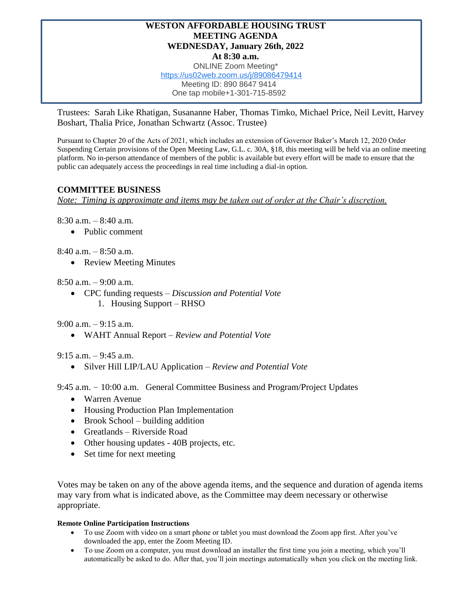## **WESTON AFFORDABLE HOUSING TRUST MEETING AGENDA WEDNESDAY, January 26th, 2022 At 8:30 a.m.**

ONLINE Zoom Meeting\* [https://us02web.zoom.us/j/89086479414](https://www.google.com/url?q=https://us02web.zoom.us/j/89086479414&sa=D&source=calendar&ust=1643118103667246&usg=AOvVaw0JfPWa-O9I8mFMr0k9mza2) Meeting ID: 890 8647 9414 One tap mobile+1-301-715-8592

Trustees: Sarah Like Rhatigan, Susananne Haber, Thomas Timko, Michael Price, Neil Levitt, Harvey Boshart, Thalia Price, Jonathan Schwartz (Assoc. Trustee)

Pursuant to Chapter 20 of the Acts of 2021, which includes an extension of Governor Baker's March 12, 2020 Order Suspending Certain provisions of the Open Meeting Law, G.L. c. 30A, §18, this meeting will be held via an online meeting platform. No in-person attendance of members of the public is available but every effort will be made to ensure that the public can adequately access the proceedings in real time including a dial-in option.

## **COMMITTEE BUSINESS**

*Note: Timing is approximate and items may be taken out of order at the Chair's discretion.*

8:30 a.m. – 8:40 a.m.

• Public comment

8:40 a.m. – 8:50 a.m.

• Review Meeting Minutes

8:50 a.m. – 9:00 a.m.

• CPC funding requests – *Discussion and Potential Vote* 1. Housing Support – RHSO

9:00 a.m.  $-9:15$  a.m.

• WAHT Annual Report – *Review and Potential Vote*

9:15 a.m. – 9:45 a.m.

• Silver Hill LIP/LAU Application – *Review and Potential Vote*

9:45 a.m. – 10:00 a.m. General Committee Business and Program/Project Updates

- Warren Avenue
- Housing Production Plan Implementation
- Brook School building addition
- Greatlands Riverside Road
- Other housing updates 40B projects, etc.
- Set time for next meeting

Votes may be taken on any of the above agenda items, and the sequence and duration of agenda items may vary from what is indicated above, as the Committee may deem necessary or otherwise appropriate.

## **Remote Online Participation Instructions**

- To use Zoom with video on a smart phone or tablet you must download the Zoom app first. After you've downloaded the app, enter the Zoom Meeting ID.
- To use Zoom on a computer, you must download an installer the first time you join a meeting, which you'll automatically be asked to do. After that, you'll join meetings automatically when you click on the meeting link.